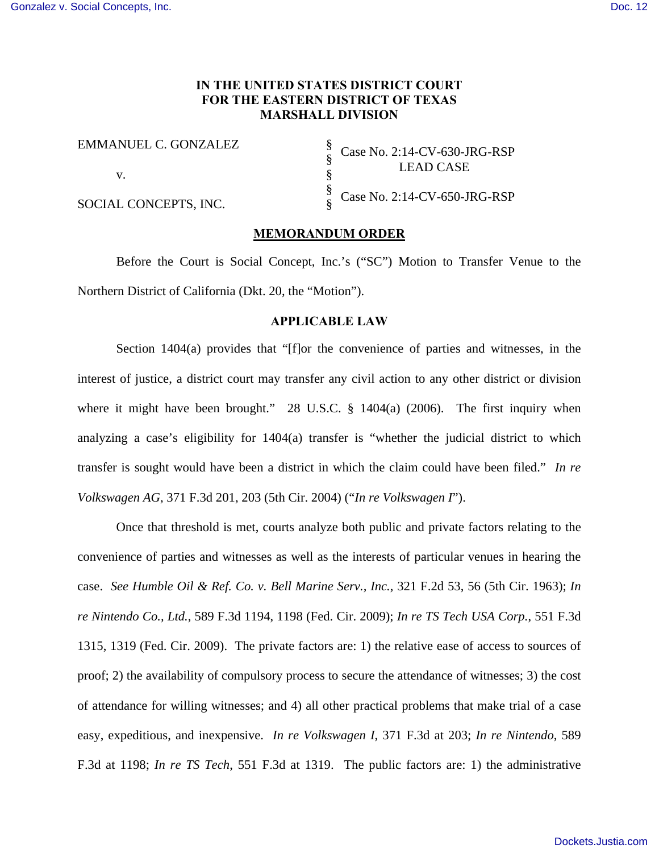## **IN THE UNITED STATES DISTRICT COURT FOR THE EASTERN DISTRICT OF TEXAS MARSHALL DIVISION**

§ § § § §

EMMANUEL C. GONZALEZ

v.

SOCIAL CONCEPTS, INC.

Case No. 2:14-CV-630-JRG-RSP LEAD CASE

Case No. 2:14-CV-650-JRG-RSP

#### **MEMORANDUM ORDER**

Before the Court is Social Concept, Inc.'s ("SC") Motion to Transfer Venue to the Northern District of California (Dkt. 20, the "Motion").

## **APPLICABLE LAW**

Section 1404(a) provides that "[f]or the convenience of parties and witnesses, in the interest of justice, a district court may transfer any civil action to any other district or division where it might have been brought." 28 U.S.C. § 1404(a) (2006). The first inquiry when analyzing a case's eligibility for 1404(a) transfer is "whether the judicial district to which transfer is sought would have been a district in which the claim could have been filed." *In re Volkswagen AG*, 371 F.3d 201, 203 (5th Cir. 2004) ("*In re Volkswagen I*").

Once that threshold is met, courts analyze both public and private factors relating to the convenience of parties and witnesses as well as the interests of particular venues in hearing the case. *See Humble Oil & Ref. Co. v. Bell Marine Serv., Inc.*, 321 F.2d 53, 56 (5th Cir. 1963); *In re Nintendo Co., Ltd.*, 589 F.3d 1194, 1198 (Fed. Cir. 2009); *In re TS Tech USA Corp.*, 551 F.3d 1315, 1319 (Fed. Cir. 2009). The private factors are: 1) the relative ease of access to sources of proof; 2) the availability of compulsory process to secure the attendance of witnesses; 3) the cost of attendance for willing witnesses; and 4) all other practical problems that make trial of a case easy, expeditious, and inexpensive. *In re Volkswagen I*, 371 F.3d at 203; *In re Nintendo*, 589 F.3d at 1198; *In re TS Tech*, 551 F.3d at 1319. The public factors are: 1) the administrative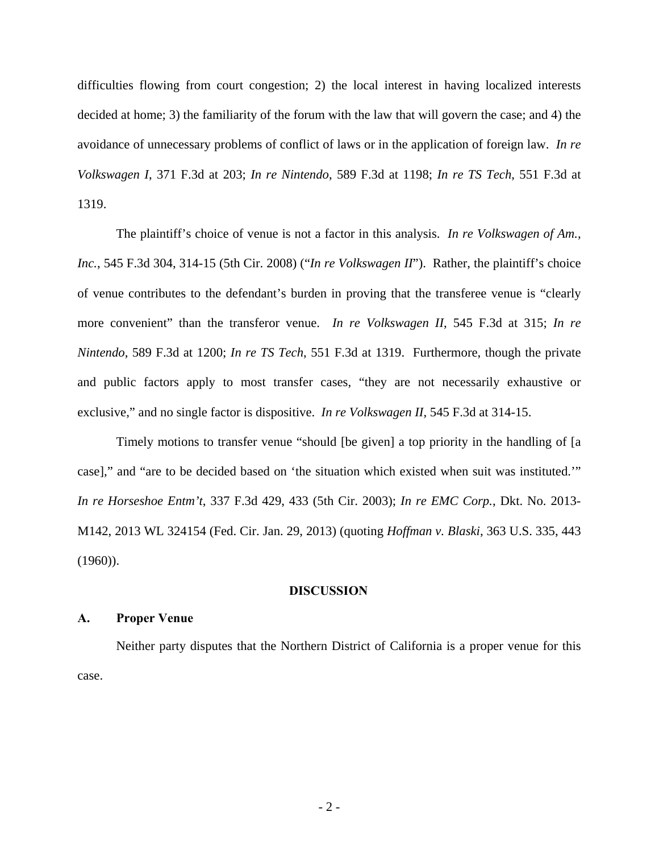difficulties flowing from court congestion; 2) the local interest in having localized interests decided at home; 3) the familiarity of the forum with the law that will govern the case; and 4) the avoidance of unnecessary problems of conflict of laws or in the application of foreign law. *In re Volkswagen I*, 371 F.3d at 203; *In re Nintendo*, 589 F.3d at 1198; *In re TS Tech*, 551 F.3d at 1319.

The plaintiff's choice of venue is not a factor in this analysis. *In re Volkswagen of Am., Inc.*, 545 F.3d 304, 314-15 (5th Cir. 2008) ("*In re Volkswagen II*"). Rather, the plaintiff's choice of venue contributes to the defendant's burden in proving that the transferee venue is "clearly more convenient" than the transferor venue. *In re Volkswagen II*, 545 F.3d at 315; *In re Nintendo*, 589 F.3d at 1200; *In re TS Tech*, 551 F.3d at 1319. Furthermore, though the private and public factors apply to most transfer cases, "they are not necessarily exhaustive or exclusive," and no single factor is dispositive. *In re Volkswagen II*, 545 F.3d at 314-15.

Timely motions to transfer venue "should [be given] a top priority in the handling of [a case]," and "are to be decided based on 'the situation which existed when suit was instituted.'" *In re Horseshoe Entm't*, 337 F.3d 429, 433 (5th Cir. 2003); *In re EMC Corp.*, Dkt. No. 2013- M142, 2013 WL 324154 (Fed. Cir. Jan. 29, 2013) (quoting *Hoffman v. Blaski*, 363 U.S. 335, 443 (1960)).

#### **DISCUSSION**

## **A. Proper Venue**

Neither party disputes that the Northern District of California is a proper venue for this case.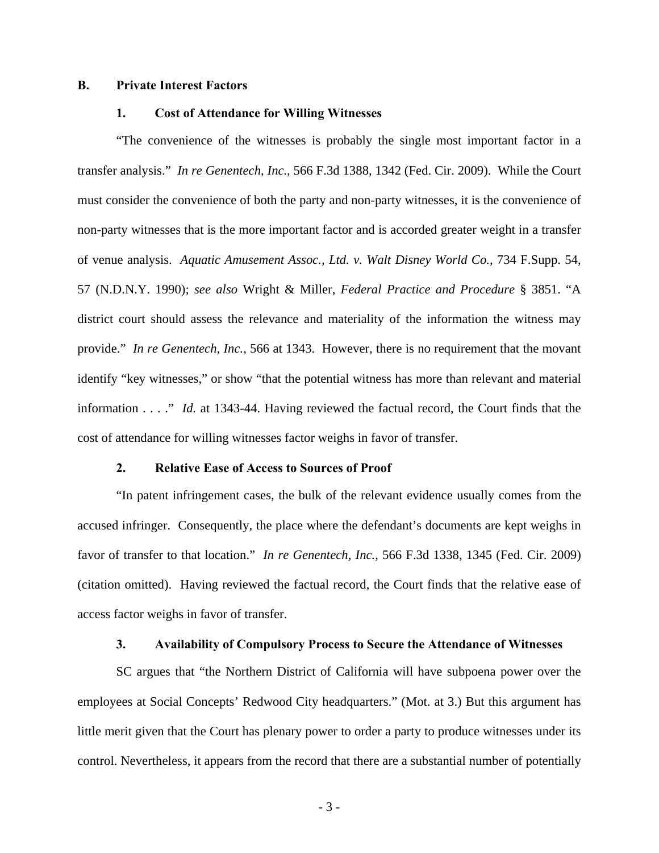## **B. Private Interest Factors**

#### **1. Cost of Attendance for Willing Witnesses**

"The convenience of the witnesses is probably the single most important factor in a transfer analysis." *In re Genentech, Inc.*, 566 F.3d 1388, 1342 (Fed. Cir. 2009). While the Court must consider the convenience of both the party and non-party witnesses, it is the convenience of non-party witnesses that is the more important factor and is accorded greater weight in a transfer of venue analysis. *Aquatic Amusement Assoc., Ltd. v. Walt Disney World Co.*, 734 F.Supp. 54, 57 (N.D.N.Y. 1990); *see also* Wright & Miller, *Federal Practice and Procedure* § 3851. "A district court should assess the relevance and materiality of the information the witness may provide." *In re Genentech, Inc.*, 566 at 1343. However, there is no requirement that the movant identify "key witnesses," or show "that the potential witness has more than relevant and material information . . . ." *Id.* at 1343-44. Having reviewed the factual record, the Court finds that the cost of attendance for willing witnesses factor weighs in favor of transfer.

### **2. Relative Ease of Access to Sources of Proof**

"In patent infringement cases, the bulk of the relevant evidence usually comes from the accused infringer. Consequently, the place where the defendant's documents are kept weighs in favor of transfer to that location." *In re Genentech, Inc.*, 566 F.3d 1338, 1345 (Fed. Cir. 2009) (citation omitted). Having reviewed the factual record, the Court finds that the relative ease of access factor weighs in favor of transfer.

#### **3. Availability of Compulsory Process to Secure the Attendance of Witnesses**

SC argues that "the Northern District of California will have subpoena power over the employees at Social Concepts' Redwood City headquarters." (Mot. at 3.) But this argument has little merit given that the Court has plenary power to order a party to produce witnesses under its control. Nevertheless, it appears from the record that there are a substantial number of potentially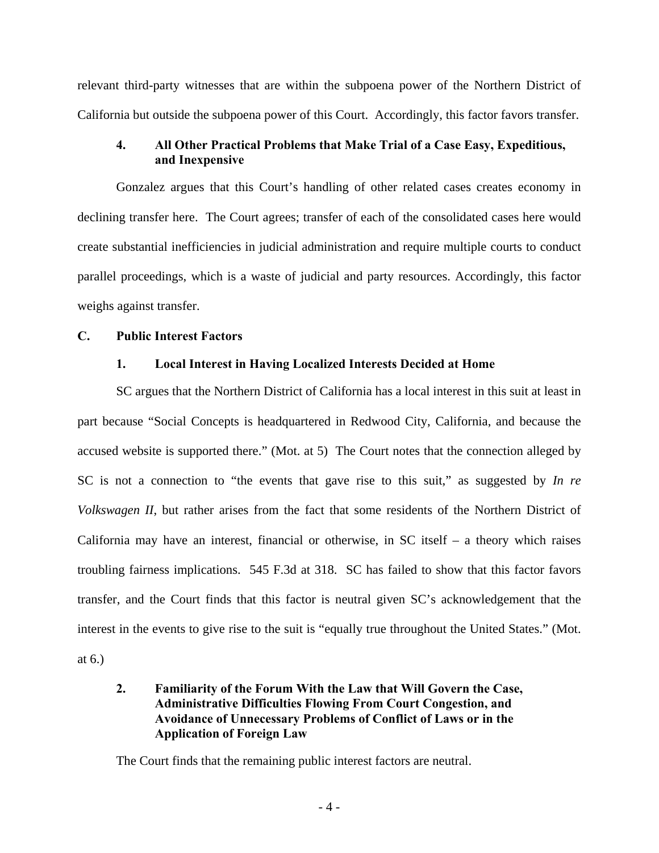relevant third-party witnesses that are within the subpoena power of the Northern District of California but outside the subpoena power of this Court. Accordingly, this factor favors transfer.

# **4. All Other Practical Problems that Make Trial of a Case Easy, Expeditious, and Inexpensive**

Gonzalez argues that this Court's handling of other related cases creates economy in declining transfer here. The Court agrees; transfer of each of the consolidated cases here would create substantial inefficiencies in judicial administration and require multiple courts to conduct parallel proceedings, which is a waste of judicial and party resources. Accordingly, this factor weighs against transfer.

## **C. Public Interest Factors**

## **1. Local Interest in Having Localized Interests Decided at Home**

SC argues that the Northern District of California has a local interest in this suit at least in part because "Social Concepts is headquartered in Redwood City, California, and because the accused website is supported there." (Mot. at 5) The Court notes that the connection alleged by SC is not a connection to "the events that gave rise to this suit," as suggested by *In re Volkswagen II*, but rather arises from the fact that some residents of the Northern District of California may have an interest, financial or otherwise, in  $SC$  itself – a theory which raises troubling fairness implications. 545 F.3d at 318. SC has failed to show that this factor favors transfer, and the Court finds that this factor is neutral given SC's acknowledgement that the interest in the events to give rise to the suit is "equally true throughout the United States." (Mot. at 6.)

# **2. Familiarity of the Forum With the Law that Will Govern the Case, Administrative Difficulties Flowing From Court Congestion, and Avoidance of Unnecessary Problems of Conflict of Laws or in the Application of Foreign Law**

The Court finds that the remaining public interest factors are neutral.